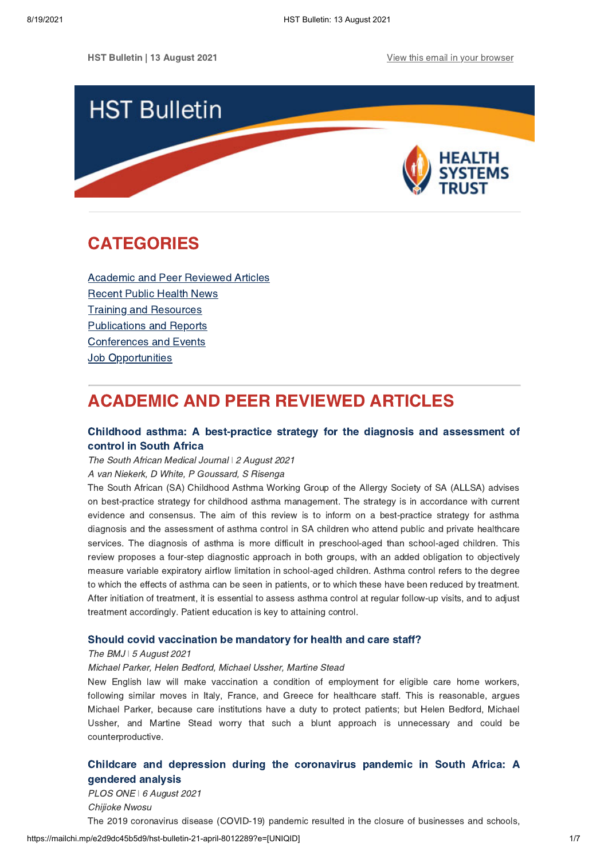

# <span id="page-0-1"></span>CATEGORIES

[Academic and Peer Reviewed Articles](#page-0-0) [Recent Public Health News](#page-1-0) Training and Resources [Publications and Reports](#page-4-0) [Conferences and Events](#page-4-1) **[Job Opportunities](#page-5-0)** 

# <span id="page-0-0"></span>ACADEMIC AND PEER REVIEWED ARTICLES

## [Childhood asthma: A best-practice strategy for the diagnosis and assessment of](http://www.samj.org.za/index.php/samj/article/view/13364) control in South Africa

The South African Medical Journal *ǀ* 2 August 2021

A van Niekerk, D White, P Goussard, S Risenga

The South African (SA) Childhood Asthma Working Group of the Allergy Society of SA (ALLSA) advises on best-practice strategy for childhood asthma management. The strategy is in accordance with current evidence and consensus. The aim of this review is to inform on a best-practice strategy for asthma diagnosis and the assessment of asthma control in SA children who attend public and private healthcare services. The diagnosis of asthma is more difficult in preschool-aged than school-aged children. This review proposes a four-step diagnostic approach in both groups, with an added obligation to objectively measure variable expiratory airflow limitation in school-aged children. Asthma control refers to the degree to which the effects of asthma can be seen in patients, or to which these have been reduced by treatment. After initiation of treatment, it is essential to assess asthma control at regular follow-up visits, and to adjust treatment accordingly. Patient education is key to attaining control.

### [Should covid vaccination be mandatory for health and care staff?](https://www.bmj.com/content/374/bmj.n1903)

#### The BMJ *ǀ* 5 August 2021

#### Michael Parker, Helen Bedford, Michael Ussher, Martine Stead

New English law will make vaccination a condition of employment for eligible care home workers, following similar moves in Italy, France, and Greece for healthcare staff. This is reasonable, argues Michael Parker, because care institutions have a duty to protect patients; but Helen Bedford, Michael Ussher, and Martine Stead worry that such a blunt approach is unnecessary and could be counterproductive.

# [Childcare and depression during the coronavirus pandemic in South Africa: A](https://journals.plos.org/plosone/article?id=10.1371/journal.pone.0255183) gendered analysis

PLOS ONE *ǀ* 6 August 2021 Chijioke Nwosu The 2019 coronavirus disease (COVID-19) pandemic resulted in the closure of businesses and schools,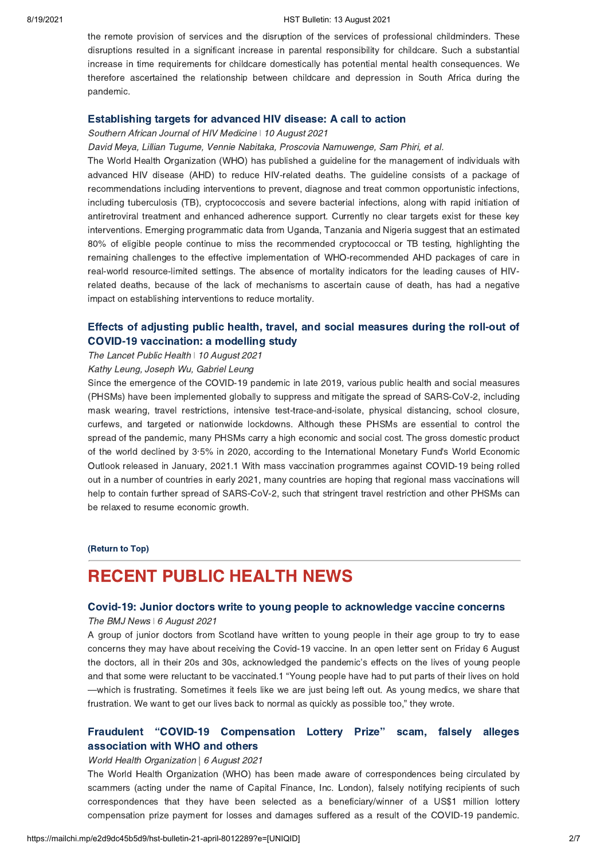#### 8/19/2021 HST Bulletin: 13 August 2021

the remote provision of services and the disruption of the services of professional childminders. These disruptions resulted in a significant increase in parental responsibility for childcare. Such a substantial increase in time requirements for childcare domestically has potential mental health consequences. We therefore ascertained the relationship between childcare and depression in South Africa during the pandemic.

## [Establishing targets for advanced HIV disease: A call to action](https://sajhivmed.org.za/index.php/hivmed/article/view/1266/2499)

Southern African Journal of HIV Medicine *ǀ* 10 August 2021

David Meya, Lillian Tugume, Vennie Nabitaka, Proscovia Namuwenge, Sam Phiri, et al.

The World Health Organization (WHO) has published a guideline for the management of individuals with advanced HIV disease (AHD) to reduce HIV-related deaths. The guideline consists of a package of recommendations including interventions to prevent, diagnose and treat common opportunistic infections, including tuberculosis (TB), cryptococcosis and severe bacterial infections, along with rapid initiation of antiretroviral treatment and enhanced adherence support. Currently no clear targets exist for these key interventions. Emerging programmatic data from Uganda, Tanzania and Nigeria suggest that an estimated 80% of eligible people continue to miss the recommended cryptococcal or TB testing, highlighting the remaining challenges to the effective implementation of WHO-recommended AHD packages of care in real-world resource-limited settings. The absence of mortality indicators for the leading causes of HIVrelated deaths, because of the lack of mechanisms to ascertain cause of death, has had a negative impact on establishing interventions to reduce mortality.

## Effects of adjusting [public health, travel, and social measures during the roll-out of](https://www.thelancet.com/journals/lanpub/article/PIIS2468-2667(21)00167-5/fulltext) COVID-19 vaccination: a modelling study

The Lancet Public Health | 10 August 2021

# Kathy Leung, Joseph Wu, Gabriel Leung

Since the emergence of the COVID-19 pandemic in late 2019, various public health and social measures (PHSMs) have been implemented globally to suppress and mitigate the spread of SARS-CoV-2, including mask wearing, travel restrictions, intensive test-trace-and-isolate, physical distancing, school closure, curfews, and targeted or nationwide lockdowns. Although these PHSMs are essential to control the spread of the pandemic, many PHSMs carry a high economic and social cost. The gross domestic product of the world declined by 3·5% in 2020, according to the International Monetary Fund's World Economic Outlook released in January, 2021.1 With mass vaccination programmes against COVID-19 being rolled out in a number of countries in early 2021, many countries are hoping that regional mass vaccinations will help to contain further spread of SARS-CoV-2, such that stringent travel restriction and other PHSMs can be relaxed to resume economic growth.

[\(Return to Top\)](#page-0-1)

# <span id="page-1-0"></span>RECENT PUBLIC HEALTH NEWS

# [Covid-19: Junior doctors write to young people to acknowledge vaccine concerns](https://www.bmj.com/content/374/bmj.n1963)

## The BMJ News | 6 August 2021

A group of junior doctors from Scotland have written to young people in their age group to try to ease concerns they may have about receiving the Covid-19 vaccine. In an open letter sent on Friday 6 August the doctors, all in their 20s and 30s, acknowledged the pandemic's effects on the lives of young people and that some were reluctant to be vaccinated.1 "Young people have had to put parts of their lives on hold —which is frustrating. Sometimes it feels like we are just being left out. As young medics, we share that frustration. We want to get our lives back to normal as quickly as possible too," they wrote.

# [Fraudulent "COVID-19 Compensation Lottery Prize"](https://www.who.int/news/item/06-08-2021-fraudulent-covid-19-compensation-lottery-prize-scam-falsely-alleges-association-with-who-and-others) scam, falsely alleges association with WHO and others

#### World Health Organization | 6 August 2021

The World Health Organization (WHO) has been made aware of correspondences being circulated by scammers (acting under the name of Capital Finance, Inc. London), falsely notifying recipients of such correspondences that they have been selected as a beneficiary/winner of a US\$1 million lottery compensation prize payment for losses and damages suffered as a result of the COVID-19 pandemic.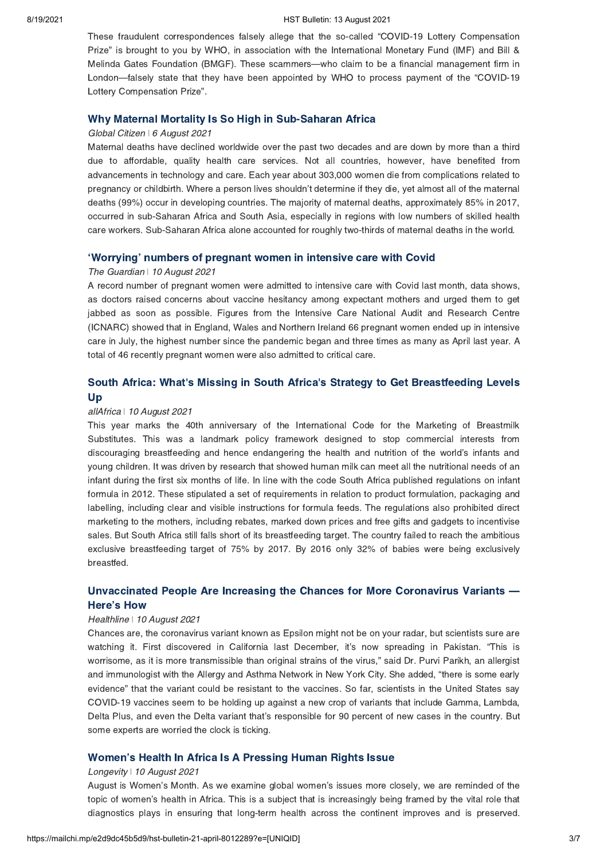#### 8/19/2021 HST Bulletin: 13 August 2021

These fraudulent correspondences falsely allege that the so-called "COVID-19 Lottery Compensation Prize" is brought to you by WHO, in association with the International Monetary Fund (IMF) and Bill & Melinda Gates Foundation (BMGF). These scammers—who claim to be a financial management firm in London—falsely state that they have been appointed by WHO to process payment of the "COVID-19 Lottery Compensation Prize".

## [Why Maternal Mortality Is So High in Sub-Saharan Africa](https://www.globalcitizen.org/en/content/maternal-mortality-sub-saharan-africa-causes/)

#### Global Citizen *ǀ* 6 August 2021

Maternal deaths have declined worldwide over the past two decades and are down by more than a third due to affordable, quality health care services. Not all countries, however, have benefited from advancements in technology and care. Each year about 303,000 women die from complications related to pregnancy or childbirth. Where a person lives shouldn't determine if they die, yet almost all of the maternal deaths (99%) occur in developing countries. The majority of maternal deaths, approximately 85% in 2017, occurred in sub-Saharan Africa and South Asia, especially in regions with low numbers of skilled health care workers. Sub-Saharan Africa alone accounted for roughly two-thirds of maternal deaths in the world.

### ['Worrying' numbers of pregnant women in intensive care with Covid](https://www.theguardian.com/world/2021/aug/09/worrying-numbers-of-pregnant-women-in-intensive-care-with-covid)

#### The Guardian | 10 August 2021

A record number of pregnant women were admitted to intensive care with Covid last month, data shows, as doctors raised concerns about vaccine hesitancy among expectant mothers and urged them to get jabbed as soon as possible. Figures from the Intensive Care National Audit and Research Centre (ICNARC) showed that in England, Wales and Northern Ireland 66 pregnant women ended up in intensive care in July, the highest number since the pandemic began and three times as many as April last year. A total of 46 recently pregnant women were also admitted to critical care.

## South Africa: What's Missing in South [Africa's Strategy to Get Breastfeeding Levels](https://allafrica.com/stories/202108110165.html) Up

#### allAfrica *ǀ* 10 August 2021

This year marks the 40th anniversary of the International Code for the Marketing of Breastmilk Substitutes. This was a landmark policy framework designed to stop commercial interests from discouraging breastfeeding and hence endangering the health and nutrition of the world's infants and young children. It was driven by research that showed human milk can meet all the nutritional needs of an infant during the first six months of life. In line with the code South Africa published regulations on infant formula in 2012. These stipulated a set of requirements in relation to product formulation, packaging and labelling, including clear and visible instructions for formula feeds. The regulations also prohibited direct marketing to the mothers, including rebates, marked down prices and free gifts and gadgets to incentivise sales. But South Africa still falls short of its breastfeeding target. The country failed to reach the ambitious exclusive breastfeeding target of 75% by 2017. By 2016 only 32% of babies were being exclusively breastfed.

## [Unvaccinated People Are Increasing the Chances for More Coronavirus Variants —](https://www.healthline.com/health-news/unvaccinated-people-are-increasing-the-chances-for-more-coronavirus-variants-heres-how) Here's How

#### Healthline *ǀ* 10 August 2021

Chances are, the coronavirus variant known as Epsilon might not be on your radar, but scientists sure are watching it. First discovered in California last December, it's now spreading in Pakistan. "This is worrisome, as it is more transmissible than original strains of the virus," said Dr. Purvi Parikh, an allergist and immunologist with the Allergy and Asthma Network in New York City. She added, "there is some early evidence" that the variant could be resistant to the vaccines. So far, scientists in the United States say COVID-19 vaccines seem to be holding up against a new crop of variants that include Gamma, Lambda, Delta Plus, and even the Delta variant that's responsible for 90 percent of new cases in the country. But some experts are worried the clock is ticking.

### [Women's Health In Africa Is A Pressing Human Rights Issue](https://longevitylive.com/anti-aging/womens-health-in-africa-is-a-pressing-human-rights-issue/)

#### Longevity *ǀ* 10 August 2021

August is Women's Month. As we examine global women's issues more closely, we are reminded of the topic of women's health in Africa. This is a subject that is increasingly being framed by the vital role that diagnostics plays in ensuring that long-term health across the continent improves and is preserved.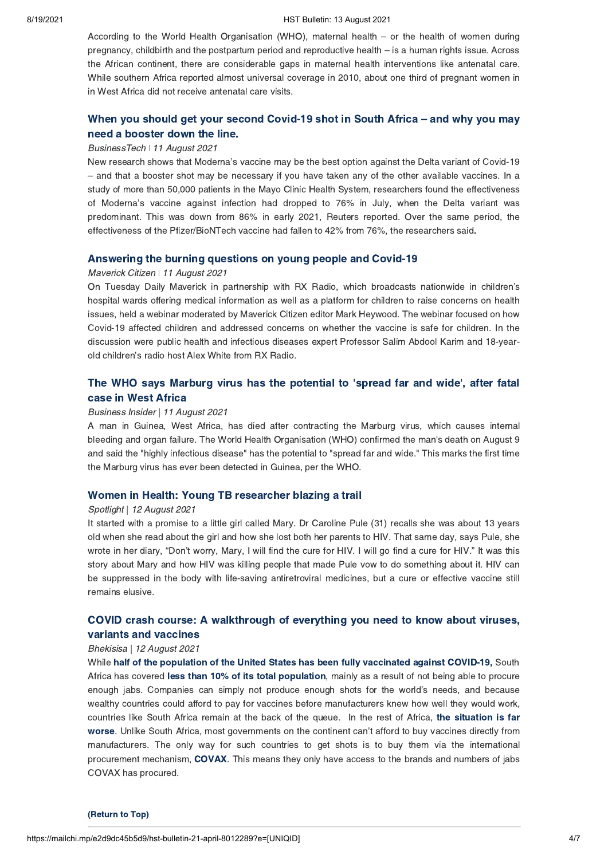#### 8/19/2021 HST Bulletin: 13 August 2021

According to the World Health Organisation (WHO), maternal health – or the health of women during pregnancy, childbirth and the postpartum period and reproductive health – is a human rights issue. Across the African continent, there are considerable gaps in maternal health interventions like antenatal care. While southern Africa reported almost universal coverage in 2010, about one third of pregnant women in in West Africa did not receive antenatal care visits.

# When you [should get your second Covid-19 shot in South Africa –](https://businesstech.co.za/news/trending/512034/when-you-should-get-your-second-covid-19-shot-in-south-africa-and-why-you-may-need-a-booster-down-the-line/) and why you may need a booster down the line.

#### BusinessTech *ǀ* 11 August 2021

New research shows that Moderna's vaccine may be the best option against the Delta variant of Covid-19 – and that a booster shot may be necessary if you have taken any of the other available vaccines. In a study of more than 50,000 patients in the Mayo Clinic Health System, researchers found the effectiveness of Moderna's vaccine against infection had dropped to 76% in July, when the Delta variant was predominant. This was down from 86% in early 2021, Reuters reported. Over the same period, the effectiveness of the Pfizer/BioNTech vaccine had fallen to 42% from 76%, the researchers said.

### [Answering the burning questions on young people and Covid-19](https://www.dailymaverick.co.za/article/2021-08-11-answering-the-burning-questions-on-children-and-the-covid-19-vaccine/)

### Maverick Citizen *ǀ* 11 August 2021

On Tuesday Daily Maverick in partnership with RX Radio, which broadcasts nationwide in children's hospital wards offering medical information as well as a platform for children to raise concerns on health issues, held a webinar moderated by Maverick Citizen editor Mark Heywood. The webinar focused on how Covid-19 affected children and addressed concerns on whether the vaccine is safe for children. In the discussion were public health and infectious diseases expert Professor Salim Abdool Karim and 18-yearold children's radio host Alex White from RX Radio.

## The WHO says Marburg virus has the [potential to 'spread far and wide', after fatal](https://www.businessinsider.co.za/west-africa-marburg-virus-man-dead-disease-internal-bleeding-2021-8) case in West Africa

#### Business Insider | 11 August 2021

A man in Guinea, West Africa, has died after contracting the Marburg virus, which causes internal bleeding and organ failure. The World Health Organisation (WHO) confirmed the man's death on August 9 and said the "highly infectious disease" has the potential to "spread far and wide." This marks the first time the Marburg virus has ever been detected in Guinea, per the WHO.

## [Women in Health: Young TB researcher blazing a trail](https://www.spotlightnsp.co.za/2021/08/12/women-in-health-young-tb-researcher-blazing-a-trail/)

#### Spotlight | 12 August 2021

It started with a promise to a little girl called Mary. Dr Caroline Pule (31) recalls she was about 13 years old when she read about the girl and how she lost both her parents to HIV. That same day, says Pule, she wrote in her diary, "Don't worry, Mary, I will find the cure for HIV. I will go find a cure for HIV." It was this story about Mary and how HIV was killing people that made Pule vow to do something about it. HIV can be suppressed in the body with life-saving antiretroviral medicines, but a cure or effective vaccine still remains elusive.

# [COVID crash course: A walkthrough of everything you need to know about viruses,](https://bhekisisa.org/article/2021-08-12-covid-crash-course-a-walkthrough-of-everything-you-need-to-know-about-viruses-variants-and-vaccines/) variants and vaccines

### Bhekisisa | 12 August 2021

While [half of the population of the United States has been fully vaccinated against COVID-19,](https://ourworldindata.org/covid-vaccinations?country=USA) South Africa has covered [less than 10% of its total population](https://ourworldindata.org/covid-vaccinations?country=OWID_WRL), mainly as a result of not being able to procure enough jabs. Companies can simply not produce enough shots for the world's needs, and because wealthy countries could afford to pay for vaccines before manufacturers knew how well they would work, countries like South Africa remain at the back of the queue. In the rest of Africa, the situation is far [worse. Unlike South Africa, most governments on the continent can't afford to buy vaccines directly from](https://mediahack.co.za/datastories/coronavirus/vaccinations/) manufacturers. The only way for such countries to get shots is to buy them via the international procurement mechanism, [COVAX.](https://www.gavi.org/vaccineswork/covax-explained) This means they only have access to the brands and numbers of jabs COVAX has procured.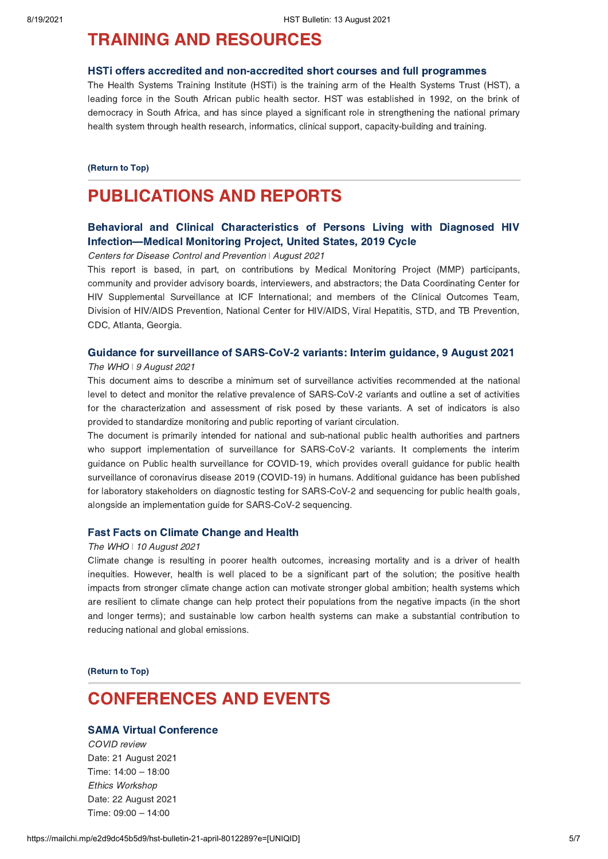# <span id="page-4-0"></span>TRAINING AND RESOURCES

#### [HSTi offers accredited and non-accredited short courses and full programmes](https://www.hstinstitute.co.za/Training)

The Health Systems Training Institute (HSTi) is the training arm of the Health Systems Trust (HST), a leading force in the South African public health sector. HST was established in 1992, on the brink of democracy in South Africa, and has since played a significant role in strengthening the national primary health system through health research, informatics, clinical support, capacity-building and training.

[\(Return to Top\)](#page-0-1)

# PUBLICATIONS AND REPORTS

## [Behavioral and Clinical Characteristics of Persons Living with Diagnosed HIV](https://www.cdc.gov/hiv/library/reports/hiv-surveillance-special-reports/no-28/index.html) Infection—Medical Monitoring Project, United States, 2019 Cycle

Centers for Disease Control and Prevention *ǀ* August 2021

This report is based, in part, on contributions by Medical Monitoring Project (MMP) participants, community and provider advisory boards, interviewers, and abstractors; the Data Coordinating Center for HIV Supplemental Surveillance at ICF International; and members of the Clinical Outcomes Team, Division of HIV/AIDS Prevention, National Center for HIV/AIDS, Viral Hepatitis, STD, and TB Prevention, CDC, Atlanta, Georgia.

## [Guidance for surveillance of SARS-CoV-2 variants: Interim guidance, 9 August 2021](https://www.who.int/publications/i/item/WHO_2019-nCoV_surveillance_variants)

#### The WHO | 9 August 2021

This document aims to describe a minimum set of surveillance activities recommended at the national level to detect and monitor the relative prevalence of SARS-CoV-2 variants and outline a set of activities for the characterization and assessment of risk posed by these variants. A set of indicators is also provided to standardize monitoring and public reporting of variant circulation.

The document is primarily intended for national and sub-national public health authorities and partners who support implementation of surveillance for SARS-CoV-2 variants. It complements the interim guidance on Public health surveillance for COVID-19, which provides overall guidance for public health surveillance of coronavirus disease 2019 (COVID-19) in humans. Additional guidance has been published for laboratory stakeholders on diagnostic testing for SARS-CoV-2 and sequencing for public health goals, alongside an implementation guide for SARS-CoV-2 sequencing.

## [Fast Facts on Climate Change and Health](https://www.who.int/publications/i/item/fast-facts-on-climate-change-health)

#### The WHO | 10 August 2021

Climate change is resulting in poorer health outcomes, increasing mortality and is a driver of health inequities. However, health is well placed to be a significant part of the solution; the positive health impacts from stronger climate change action can motivate stronger global ambition; health systems which are resilient to climate change can help protect their populations from the negative impacts (in the short and longer terms); and sustainable low carbon health systems can make a substantial contribution to reducing national and global emissions.

[\(Return to Top\)](#page-0-1)

# <span id="page-4-1"></span>CONFERENCES AND EVENTS

## [SAMA Virtual Conference](https://www.exbo.co.za/REG/dynamic_forms/generated_forms/sama_2021_virtual_register.php)

COVID review Date: 21 August 2021 Time: 14:00 – 18:00 Ethics Workshop Date: 22 August 2021 Time: 09:00 – 14:00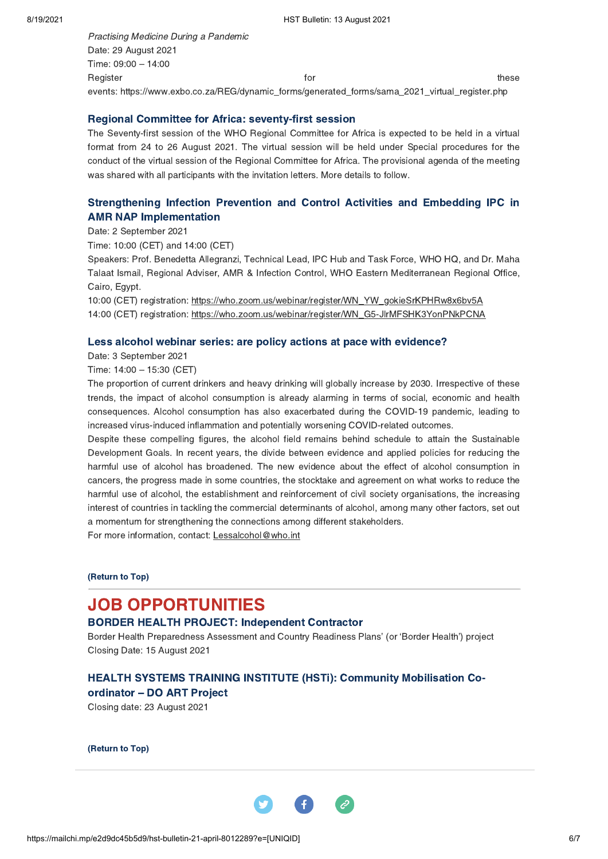Practising Medicine During a Pandemic Date: 29 August 2021 Time: 09:00 – 14:00 Register for these theories are the contracted for the contracted for the contracted for the contracted for the contracted for the contracted for the contracted for the contracted for the contracted for the contracted for events: https://www.exbo.co.za/REG/dynamic\_forms/generated\_forms/sama\_2021\_virtual\_register.php

## [Regional Committee for Africa: seventy-first session](https://www.afro.who.int/about-us/governance/sessions/seventy-first-session-who-regional-committee-africa)

The Seventy-first session of the WHO Regional Committee for Africa is expected to be held in a virtual format from 24 to 26 August 2021. The virtual session will be held under Special procedures for the conduct of the virtual session of the Regional Committee for Africa. The provisional agenda of the meeting was shared with all participants with the invitation letters. More details to follow.

# [Strengthening Infection Prevention and Control Activities and Embedding IPC in](https://who.zoom.us/webinar/register/WN_YW_gokieSrKPHRw8x6bv5A) AMR NAP Implementation

Date: 2 September 2021

Time: 10:00 (CET) and 14:00 (CET)

Speakers: Prof. Benedetta Allegranzi, Technical Lead, IPC Hub and Task Force, WHO HQ, and Dr. Maha Talaat Ismail, Regional Adviser, AMR & Infection Control, WHO Eastern Mediterranean Regional Office, Cairo, Egypt.

10:00 (CET) registration: https://who.zoom.us/webinar/register/WN\_YW\_gokieSrKPHRw8x6bv5A 14:00 (CET) registration: https://who.zoom.us/webinar/register/WN\_G5-JlrMFSHK3YonPNkPCNA

### [Less alcohol webinar series: are policy actions at pace with evidence?](https://www.who.int/news-room/events/detail/2021/09/03/default-calendar/less-alcohol-webinar-series-are-policy-actions-at-pace-with-evidence)

Date: 3 September 2021

Time: 14:00 – 15:30 (CET)

The proportion of current drinkers and heavy drinking will globally increase by 2030. Irrespective of these trends, the impact of alcohol consumption is already alarming in terms of social, economic and health consequences. Alcohol consumption has also exacerbated during the COVID-19 pandemic, leading to increased virus-induced inflammation and potentially worsening COVID-related outcomes.

Despite these compelling figures, the alcohol field remains behind schedule to attain the Sustainable Development Goals. In recent years, the divide between evidence and applied policies for reducing the harmful use of alcohol has broadened. The new evidence about the effect of alcohol consumption in cancers, the progress made in some countries, the stocktake and agreement on what works to reduce the harmful use of alcohol, the establishment and reinforcement of civil society organisations, the increasing interest of countries in tackling the commercial determinants of alcohol, among many other factors, set out a momentum for strengthening the connections among different stakeholders.

For more information, contact: Lessalcohol@who.int

[\(Return to Top\)](#page-0-1)

# <span id="page-5-0"></span>JOB OPPORTUNITIES

## [BORDER HEALTH PROJECT: Independent Contractor](https://www.hst.org.za/Pages/Independent-Contractor-Training-and-Development-Programme.aspx)

Border Health Preparedness Assessment and Country Readiness Plans' (or 'Border Health') project Closing Date: 15 August 2021

## [HEALTH SYSTEMS TRAINING INSTITUTE \(HSTi\): Community Mobilisation Co](https://careers.hstinstitute.co.za/careers/14/view)ordinator – DO ART Project

Closing date: 23 August 2021

[\(Return to Top\)](#page-0-1)